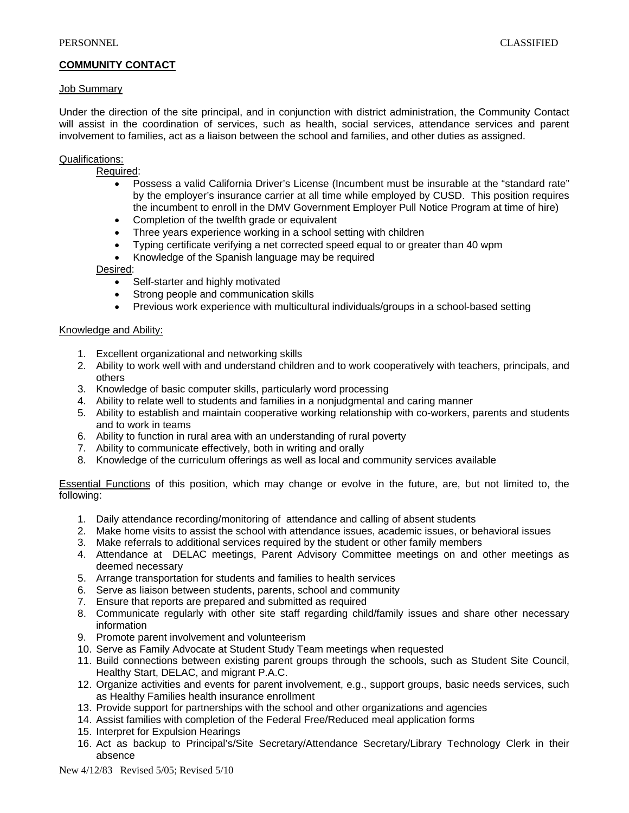# **COMMUNITY CONTACT**

## Job Summary

Under the direction of the site principal, and in conjunction with district administration, the Community Contact will assist in the coordination of services, such as health, social services, attendance services and parent involvement to families, act as a liaison between the school and families, and other duties as assigned.

## Qualifications:

- Required:
	- Possess a valid California Driver's License (Incumbent must be insurable at the "standard rate" by the employer's insurance carrier at all time while employed by CUSD. This position requires the incumbent to enroll in the DMV Government Employer Pull Notice Program at time of hire)
	- Completion of the twelfth grade or equivalent
	- Three years experience working in a school setting with children
	- Typing certificate verifying a net corrected speed equal to or greater than 40 wpm
	- Knowledge of the Spanish language may be required

## Desired:

- Self-starter and highly motivated
- Strong people and communication skills
- Previous work experience with multicultural individuals/groups in a school-based setting

## Knowledge and Ability:

- 1. Excellent organizational and networking skills
- 2. Ability to work well with and understand children and to work cooperatively with teachers, principals, and others
- 3. Knowledge of basic computer skills, particularly word processing
- 4. Ability to relate well to students and families in a nonjudgmental and caring manner
- 5. Ability to establish and maintain cooperative working relationship with co-workers, parents and students and to work in teams
- 6. Ability to function in rural area with an understanding of rural poverty
- 7. Ability to communicate effectively, both in writing and orally
- 8. Knowledge of the curriculum offerings as well as local and community services available

Essential Functions of this position, which may change or evolve in the future, are, but not limited to, the following:

- 1. Daily attendance recording/monitoring of attendance and calling of absent students
- 2. Make home visits to assist the school with attendance issues, academic issues, or behavioral issues
- 3. Make referrals to additional services required by the student or other family members
- 4. Attendance at DELAC meetings, Parent Advisory Committee meetings on and other meetings as deemed necessary
- 5. Arrange transportation for students and families to health services
- 6. Serve as liaison between students, parents, school and community
- 7. Ensure that reports are prepared and submitted as required
- 8. Communicate regularly with other site staff regarding child/family issues and share other necessary information
- 9. Promote parent involvement and volunteerism
- 10. Serve as Family Advocate at Student Study Team meetings when requested
- 11. Build connections between existing parent groups through the schools, such as Student Site Council, Healthy Start, DELAC, and migrant P.A.C.
- 12. Organize activities and events for parent involvement, e.g., support groups, basic needs services, such as Healthy Families health insurance enrollment
- 13. Provide support for partnerships with the school and other organizations and agencies
- 14. Assist families with completion of the Federal Free/Reduced meal application forms
- 15. Interpret for Expulsion Hearings
- 16. Act as backup to Principal's/Site Secretary/Attendance Secretary/Library Technology Clerk in their absence